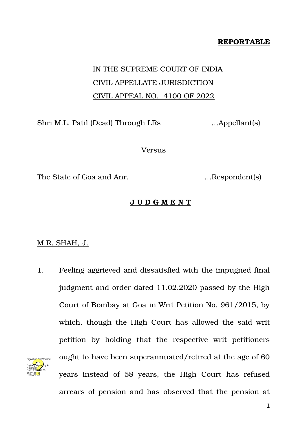## **REPORTABLE**

## IN THE SUPREME COURT OF INDIA CIVIL APPELLATE JURISDICTION CIVIL APPEAL NO. 4100 OF 2022

Shri M.L. Patil (Dead) Through LRs …Appellant(s)

Versus

The State of Goa and Anr. **Example 1.** The State of Goa and Anr.

## **J U D G M E N T**

## M.R. SHAH, J.

1. Feeling aggrieved and dissatisfied with the impugned final judgment and order dated 11.02.2020 passed by the High Court of Bombay at Goa in Writ Petition No. 961/2015, by which, though the High Court has allowed the said writ petition by holding that the respective writ petitioners ought to have been superannuated/retired at the age of 60 years instead of 58 years, the High Court has refused arrears of pension and has observed that the pension at Digitally signed by R Natarajan Date: 2022.05.23 16:07:25 IST Reason: Signature Not Verified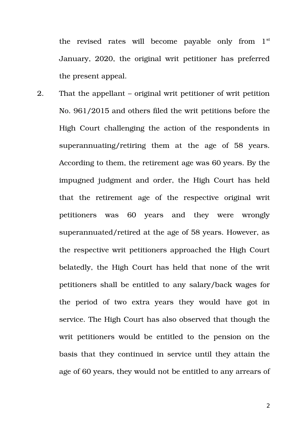the revised rates will become payable only from  $1<sup>st</sup>$ January, 2020, the original writ petitioner has preferred the present appeal.

2. That the appellant – original writ petitioner of writ petition No. 961/2015 and others filed the writ petitions before the High Court challenging the action of the respondents in superannuating/retiring them at the age of 58 years. According to them, the retirement age was 60 years. By the impugned judgment and order, the High Court has held that the retirement age of the respective original writ petitioners was 60 years and they were wrongly superannuated/retired at the age of 58 years. However, as the respective writ petitioners approached the High Court belatedly, the High Court has held that none of the writ petitioners shall be entitled to any salary/back wages for the period of two extra years they would have got in service. The High Court has also observed that though the writ petitioners would be entitled to the pension on the basis that they continued in service until they attain the age of 60 years, they would not be entitled to any arrears of

2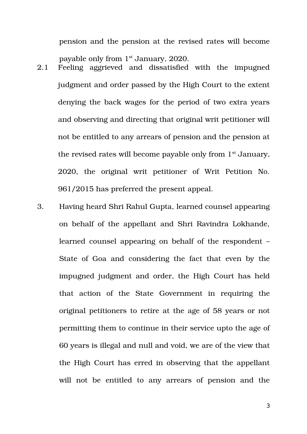pension and the pension at the revised rates will become payable only from 1st January, 2020.

- 2.1 Feeling aggrieved and dissatisfied with the impugned judgment and order passed by the High Court to the extent denying the back wages for the period of two extra years and observing and directing that original writ petitioner will not be entitled to any arrears of pension and the pension at the revised rates will become payable only from  $1<sup>st</sup>$  January, 2020, the original writ petitioner of Writ Petition No. 961/2015 has preferred the present appeal.
- 3. Having heard Shri Rahul Gupta, learned counsel appearing on behalf of the appellant and Shri Ravindra Lokhande, learned counsel appearing on behalf of the respondent – State of Goa and considering the fact that even by the impugned judgment and order, the High Court has held that action of the State Government in requiring the original petitioners to retire at the age of 58 years or not permitting them to continue in their service upto the age of 60 years is illegal and null and void, we are of the view that the High Court has erred in observing that the appellant will not be entitled to any arrears of pension and the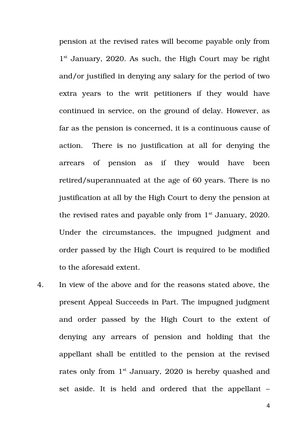pension at the revised rates will become payable only from 1<sup>st</sup> January, 2020. As such, the High Court may be right and/or justified in denying any salary for the period of two extra years to the writ petitioners if they would have continued in service, on the ground of delay. However, as far as the pension is concerned, it is a continuous cause of action. There is no justification at all for denying the arrears of pension as if they would have been retired/superannuated at the age of 60 years. There is no justification at all by the High Court to deny the pension at the revised rates and payable only from 1<sup>st</sup> January, 2020. Under the circumstances, the impugned judgment and order passed by the High Court is required to be modified to the aforesaid extent.

4. In view of the above and for the reasons stated above, the present Appeal Succeeds in Part. The impugned judgment and order passed by the High Court to the extent of denying any arrears of pension and holding that the appellant shall be entitled to the pension at the revised rates only from  $1<sup>st</sup>$  January, 2020 is hereby quashed and set aside. It is held and ordered that the appellant –

4